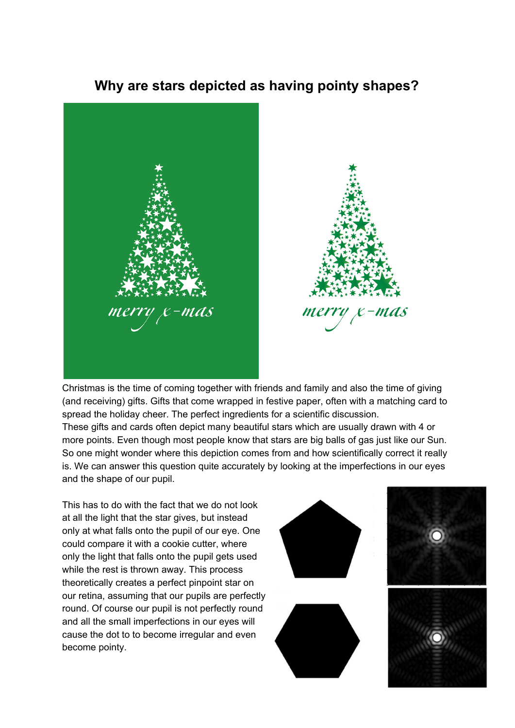## **Why are stars depicted as having pointy shapes?**





Christmas is the time of coming together with friends and family and also the time of giving (and receiving) gifts. Gifts that come wrapped in festive paper, often with a matching card to spread the holiday cheer. The perfect ingredients for a scientific discussion. These gifts and cards often depict many beautiful stars which are usually drawn with 4 or more points. Even though most people know that stars are big balls of gas just like our Sun. So one might wonder where this depiction comes from and how scientifically correct it really is. We can answer this question quite accurately by looking at the imperfections in our eyes and the shape of our pupil.

This has to do with the fact that we do not look at all the light that the star gives, but instead only at what falls onto the pupil of our eye. One could compare it with a cookie cutter, where only the light that falls onto the pupil gets used while the rest is thrown away. This process theoretically creates a perfect pinpoint star on our retina, assuming that our pupils are perfectly round. Of course our pupil is not perfectly round and all the small imperfections in our eyes will cause the dot to to become irregular and even become pointy.

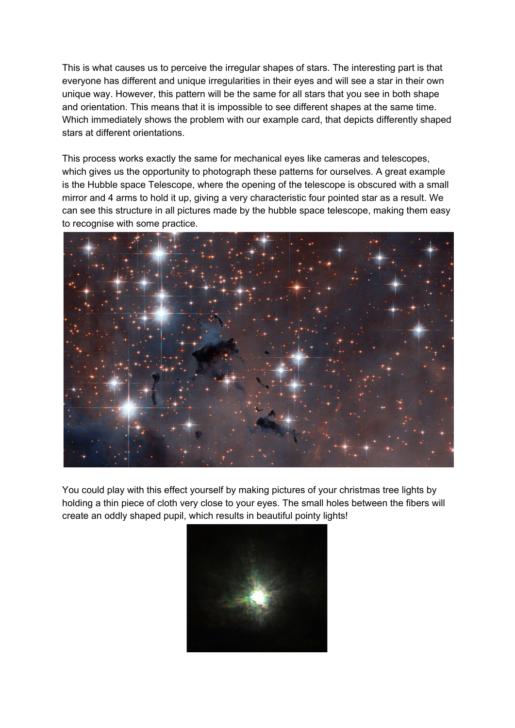This is what causes us to perceive the irregular shapes of stars. The interesting part is that everyone has different and unique irregularities in their eyes and will see a star in their own unique way. However, this pattern will be the same for all stars that you see in both shape and orientation. This means that it is impossible to see different shapes at the same time. Which immediately shows the problem with our example card, that depicts differently shaped stars at different orientations.

This process works exactly the same for mechanical eyes like cameras and telescopes, which gives us the opportunity to photograph these patterns for ourselves. A great example is the Hubble space Telescope, where the opening of the telescope is obscured with a small mirror and 4 arms to hold it up, giving a very characteristic four pointed star as a result. We can see this structure in all pictures made by the hubble space telescope, making them easy to recognise with some practice.



You could play with this effect yourself by making pictures of your christmas tree lights by holding a thin piece of cloth very close to your eyes. The small holes between the fibers will create an oddly shaped pupil, which results in beautiful pointy lights!